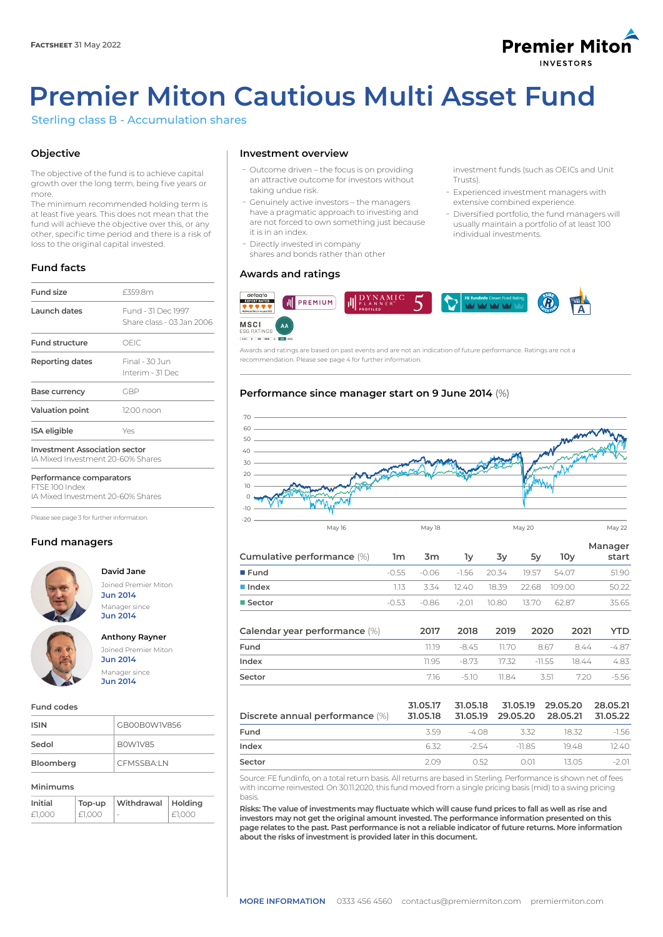## **Premier Miton INVESTODS**

# **Premier Miton Cautious Multi Asset Fund**

Sterling class B - Accumulation shares

## **Objective**

The objective of the fund is to achieve capital growth over the long term, being five years or more.

The minimum recommended holding term is at least five years. This does not mean that the fund will achieve the objective over this, or any other, specific time period and there is a risk of loss to the original capital invested.

## **Fund facts**

| <b>Fund size</b>                                                          | £359.8m                                         |
|---------------------------------------------------------------------------|-------------------------------------------------|
| Launch dates                                                              | Fund - 31 Dec 1997<br>Share class - 03 Jan 2006 |
| <b>Fund structure</b>                                                     | OFIC.                                           |
| <b>Reporting dates</b>                                                    | Final - 30 Jun<br>Interim - 31 Dec              |
| Base currency                                                             | GBP                                             |
| <b>Valuation point</b>                                                    | 12:00 noon                                      |
| <b>ISA</b> eligible                                                       | Yes                                             |
| <b>Investment Association sector</b><br>IA Mixed Investment 20-60% Shares |                                                 |
|                                                                           |                                                 |

**Performance comparators** FTSE 100 Index

IA Mixed Investment 20-60% Shares

Please see page 3 for further information.

## **Fund managers**



**David Jane** Joined Premier Miton **Jun 2014** Manager since **Jun 2014**

## **Anthony Rayner** Joined Premier Miton

**Jun 2014** Manager since **Jun 2014**

#### **Fund codes**

| <b>ISIN</b> | GB00B0W1V856 |
|-------------|--------------|
| Sedol       | BOWIV85      |
| Bloomberg   | CEMSSBA IN   |

#### **Minimums**

| Initial | Top-up | Withdrawal Holding |        |
|---------|--------|--------------------|--------|
| £1.000  | £1,000 |                    | £1.000 |

#### **Investment overview**

- ܥOutcome driven the focus is on providing an attractive outcome for investors without taking undue risk.
- Genuinely active investors the managers have a pragmatic approach to investing and are not forced to own something just because it is in an [index.](https://www.mitongroup.com/private/glossary/?active-letter=I)
- Directly invested in company shares and [bonds](https://www.mitongroup.com/private/glossary/?active-letter=B) rather than other

#### **Awards and ratings**



Awards and ratings are based on past events and are not an indication of future performance. Ratings are not a recommendation. Please see page 4 for further information.

## **Performance since manager start on 9 June 2014** (%)



|  | - TV | 3v                                  | 5v | 10v | Manager<br>start                                                                                                          |
|--|------|-------------------------------------|----|-----|---------------------------------------------------------------------------------------------------------------------------|
|  |      |                                     |    |     | 51.90                                                                                                                     |
|  |      |                                     |    |     | 50.22                                                                                                                     |
|  |      |                                     |    |     | 35.65                                                                                                                     |
|  |      | Cumulative performance (%)   1m  3m |    |     | $-0.55$ $-0.06$ $-1.56$ 20.34 19.57 54.07<br>1.13 3.34 12.40 18.39 22.68 109.00<br>$-0.53 -0.86 -2.01 -10.80$ 13.70 62.87 |

| Calendar year performance (%) | 2017 2018 2019 2020                 |  | 2021 | YTD. |
|-------------------------------|-------------------------------------|--|------|------|
| Fund                          | 11.19 -8.45 11.70 8.67 8.44 -4.87   |  |      |      |
| Index                         | 11.95 -8.73 17.32 -11.55 18.44 4.83 |  |      |      |
| Sector                        | 716 - 510 1184 - 351 - 720 - 556    |  |      |      |

|                                                                              |      |      |                           | 31.05.17 31.05.18 31.05.19 29.05.20 28.05.21 |        |
|------------------------------------------------------------------------------|------|------|---------------------------|----------------------------------------------|--------|
| Discrete annual performance (%) 31.05.18 31.05.19 29.05.20 28.05.21 31.05.22 |      |      |                           |                                              |        |
| Fund                                                                         | 3.59 |      | -408 332                  | 18.32                                        | -156   |
| Index                                                                        |      |      | 6.32 - 2.54 - 11.85 19.48 |                                              | 12.40  |
| Sector                                                                       | 209  | 0.52 | റവ                        | 13.05                                        | $-201$ |

Source: FE fundinfo, on a total return basis. All returns are based in Sterling. Performance is shown net of fees with income reinvested. On 30.11.2020, this fund moved from a single pricing basis (mid) to a swing pricing basis.

**Risks: The value of investments may fluctuate which will cause fund prices to fall as well as rise and investors may not get the original amount invested. The performance information presented on this page relates to the past. Past performance is not a reliable indicator of future returns. More information about the risks of investment is provided later in this document.**

investment [funds](https://www.mitongroup.com/private/glossary/?active-letter=F) (such as [OEICs](https://www.mitongroup.com/private/glossary/?active-letter=O) and [Unit](https://www.mitongroup.com/private/glossary/?active-letter=U)  [Trusts\)](https://www.mitongroup.com/private/glossary/?active-letter=U).

- Experienced investment managers with extensive combined experience.
- Diversified portfolio, the fund managers will usually maintain a portfolio of at least 100 individual investments.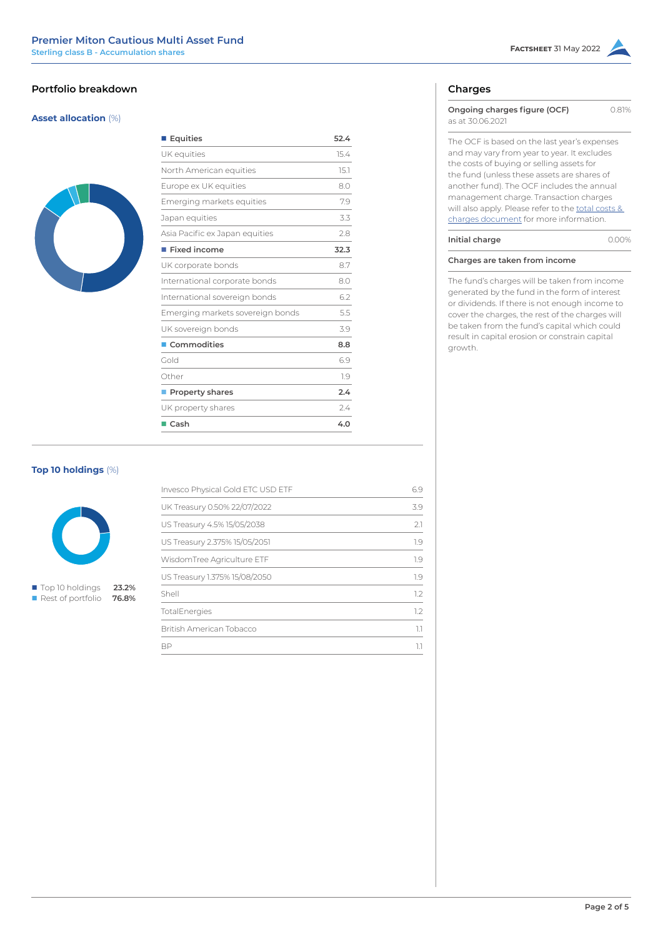## **Portfolio breakdown**

## **Asset allocation** (%)



| ■ Equities                       | 52.4 |
|----------------------------------|------|
| UK equities                      | 15.4 |
| North American equities          | 15.1 |
| Europe ex UK equities            | 8.0  |
| Emerging markets equities        | 7.9  |
| Japan equities                   | 3.3  |
| Asia Pacific ex Japan equities   | 2.8  |
| $\blacksquare$ Fixed income      | 32.3 |
| UK corporate bonds               | 8.7  |
| International corporate bonds    | 8.0  |
| International sovereign bonds    | 6.2  |
| Emerging markets sovereign bonds | 5.5  |
| UK sovereign bonds               | 3.9  |
| ■ Commodities                    | 8.8  |
| Gold                             | 6.9  |
| Other                            | 1.9  |
| Property shares                  | 2.4  |
| UK property shares               | 2.4  |
| $\blacksquare$ Cash              | 4.0  |

## **Top 10 holdings** (%)



■ Top 10 holdings **23.2% n** Rest of portfolio 76.8%

| Invesco Physical Gold ETC USD ETF | 69  |
|-----------------------------------|-----|
| UK Treasury 0.50% 22/07/2022      | 39  |
| US Treasury 4.5% 15/05/2038       | 21  |
| US Treasury 2.375% 15/05/2051     | 1.9 |
| WisdomTree Agriculture ETF        | 1.9 |
| US Treasury 1.375% 15/08/2050     | 1.9 |
| Shell                             | 12  |
| TotalEnergies                     | 1.2 |
| British American Tobacco          |     |
| RP                                |     |
|                                   |     |

## **Charges**

| Ongoing charges figure (OCF)<br>as at 30.06.2021   | O 81% |
|----------------------------------------------------|-------|
| The OCF is based on the last year's expenses       |       |
| and may vary from year to year. It excludes        |       |
| the costs of buying or selling assets for          |       |
| the fund (unless these assets are shares of        |       |
| another fund). The OCF includes the annual         |       |
| management charge. Transaction charges             |       |
| will also apply. Please refer to the total costs & |       |
| charges document for more information.             |       |
| Initial charge                                     |       |

The fund's charges will be taken from income generated by the fund in the form of interest or dividends. If there is not enough income to cover the charges, the rest of the charges will be taken from the fund's capital which could result in capital erosion or constrain capital growth.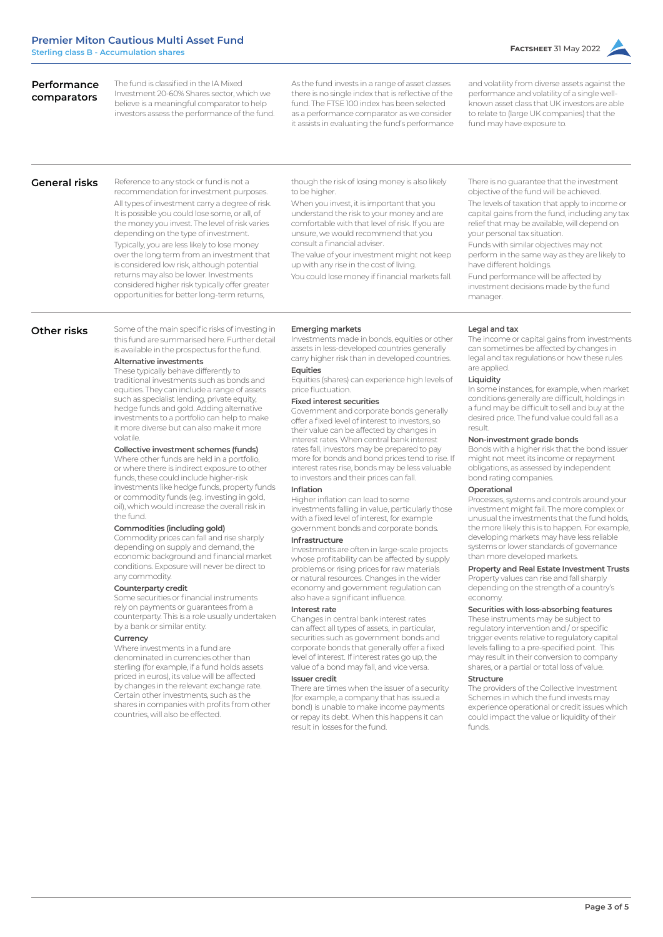| The fund is classified in the IA Mixed<br>Performance<br>Investment 20-60% Shares sector, which we<br>comparators<br>believe is a meaningful comparator to help<br>investors assess the performance of the fund. | As the fund invests in a range of asset classes<br>there is no single index that is reflective of the<br>fund. The FTSE 100 index has been selected<br>as a performance comparator as we consider<br>it assists in evaluating the fund's performance | and volatility from diverse assets against the<br>performance and volatility of a single well-<br>known asset class that UK investors are able<br>to relate to (large UK companies) that the<br>fund may have exposure to. |
|------------------------------------------------------------------------------------------------------------------------------------------------------------------------------------------------------------------|------------------------------------------------------------------------------------------------------------------------------------------------------------------------------------------------------------------------------------------------------|----------------------------------------------------------------------------------------------------------------------------------------------------------------------------------------------------------------------------|
|                                                                                                                                                                                                                  |                                                                                                                                                                                                                                                      |                                                                                                                                                                                                                            |

**General risks**

Reference to any stock or fund is not a recommendation for investment purposes. All types of investment carry a degree of risk. It is possible you could lose some, or all, of the money you invest. The level of risk varies depending on the type of investment. Typically, you are less likely to lose money over the long term from an investment that is considered low risk, although potential returns may also be lower. Investments considered higher risk typically offer greater opportunities for better long-term returns,

Some of the main specific risks of investing in

though the risk of losing money is also likely to be higher

When you invest, it is important that you understand the risk to your money and are comfortable with that level of risk. If you are unsure, we would recommend that you consult a financial adviser.

The value of your investment might not keep up with any rise in the cost of living.

You could lose money if financial markets fall.

There is no guarantee that the investment objective of the fund will be achieved. The levels of taxation that apply to income or capital gains from the fund, including any tax relief that may be available, will depend on

your personal tax situation. Funds with similar objectives may not perform in the same way as they are likely to have different holdings.

Fund performance will be affected by investment decisions made by the fund manager.

#### **Other risks**

#### this fund are summarised here. Further detail is available in the prospectus for the fund.

**Alternative investments** These typically behave differently to traditional investments such as bonds and equities. They can include a range of assets such as specialist lending, private equity,

hedge funds and gold. Adding alternative investments to a portfolio can help to make it more diverse but can also make it more volatile.

### **Collective investment schemes (funds)**

Where other funds are held in a portfolio or where there is indirect exposure to other funds, these could include higher-risk investments like hedge funds, property funds or commodity funds (e.g. investing in gold, oil), which would increase the overall risk in the fund.

## **Commodities (including gold)**

Commodity prices can fall and rise sharply depending on supply and demand, the economic background and financial market conditions. Exposure will never be direct to any commodity.

#### **Counterparty credit**

Some securities or financial instruments rely on payments or guarantees from a counterparty. This is a role usually undertaken by a bank or similar entity.

## **Currency**

Where investments in a fund are denominated in currencies other than sterling (for example, if a fund holds assets priced in euros), its value will be affected by changes in the relevant exchange rate. Certain other investments, such as the shares in companies with profits from other countries, will also be effected.

#### **Emerging markets**

Investments made in bonds, equities or other assets in less-developed countries generally carry higher risk than in developed countries. **Equities**

Equities (shares) can experience high levels of price fluctuation.

#### **Fixed interest securities**

Government and corporate bonds generally offer a fixed level of interest to investors, so their value can be affected by changes in interest rates. When central bank interest rates fall, investors may be prepared to pay more for bonds and bond prices tend to rise. If interest rates rise, bonds may be less valuable to investors and their prices can fall.

#### **Inflation**

Higher inflation can lead to some investments falling in value, particularly those with a fixed level of interest, for example government bonds and corporate bonds.

#### **Infrastructure**

Investments are often in large-scale projects whose profitability can be affected by supply problems or rising prices for raw materials or natural resources. Changes in the wider economy and government regulation can also have a significant influence

#### **Interest rate**

Changes in central bank interest rates can affect all types of assets, in particular, securities such as government bonds and corporate bonds that generally offer a fixed level of interest. If interest rates go up, the value of a bond may fall, and vice versa.

### **Issuer credit**

There are times when the issuer of a security (for example, a company that has issued a bond) is unable to make income payments or repay its debt. When this happens it can result in losses for the fund.

#### **Legal and tax**

The income or capital gains from investments can sometimes be affected by changes in legal and tax regulations or how these rules are applied.

#### **Liquidity**

In some instances, for example, when market conditions generally are difficult, holdings in a fund may be difficult to sell and buy at the desired price. The fund value could fall as a result.

#### **Non-investment grade bonds**

Bonds with a higher risk that the bond issuer might not meet its income or repayment obligations, as assessed by independent bond rating companies.

#### **Operational**

Processes, systems and controls around your investment might fail. The more complex or unusual the investments that the fund holds, the more likely this is to happen. For example, developing markets may have less reliable systems or lower standards of governance than more developed markets.

#### **Property and Real Estate Investment Trusts**

Property values can rise and fall sharply depending on the strength of a country's economy.

#### **Securities with loss-absorbing features**

These instruments may be subject to regulatory intervention and / or specific trigger events relative to regulatory capital levels falling to a pre-specified point. This may result in their conversion to company shares, or a partial or total loss of value.

### **Structure**

The providers of the Collective Investment Schemes in which the fund invests may experience operational or credit issues which could impact the value or liquidity of their funds.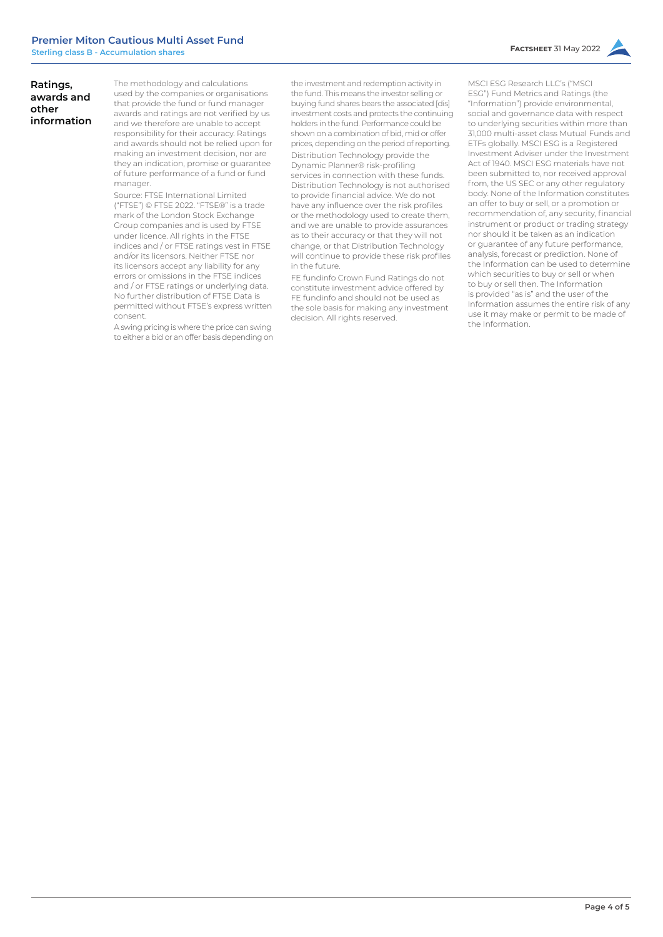## **Ratings, awards and other information**

The methodology and calculations used by the companies or organisations that provide the fund or fund manager awards and ratings are not verified by us and we therefore are unable to accept responsibility for their accuracy. Ratings and awards should not be relied upon for making an investment decision, nor are they an indication, promise or guarantee of future performance of a fund or fund manager.

Source: FTSE International Limited ("FTSE") © FTSE 2022. "FTSE®" is a trade mark of the London Stock Exchange Group companies and is used by FTSE under licence. All rights in the FTSE indices and / or FTSE ratings vest in FTSE and/or its licensors. Neither FTSE nor its licensors accept any liability for any errors or omissions in the FTSE indices and / or FTSE ratings or underlying data. No further distribution of FTSE Data is permitted without FTSE's express written consent.

A swing pricing is where the price can swing to either a bid or an offer basis depending on the investment and redemption activity in the fund. This means the investor selling or buying fund shares bears the associated [dis] investment costs and protects the continuing holders in the fund. Performance could be shown on a combination of bid, mid or offer prices, depending on the period of reporting. Distribution Technology provide the Dynamic Planner® risk-profiling services in connection with these funds. Distribution Technology is not authorised to provide financial advice. We do not have any influence over the risk profiles or the methodology used to create them, and we are unable to provide assurances as to their accuracy or that they will not change, or that Distribution Technology will continue to provide these risk profiles in the future.

FE fundinfo Crown Fund Ratings do not constitute investment advice offered by FE fundinfo and should not be used as the sole basis for making any investment decision. All rights reserved.

MSCI ESG Research LLC's ("MSCI ESG") Fund Metrics and Ratings (the "Information") provide environmental, social and governance data with respect to underlying securities within more than 31,000 multi-asset class Mutual Funds and ETFs globally. MSCI ESG is a Registered Investment Adviser under the Investment Act of 1940. MSCI ESG materials have not been submitted to, nor received approval from, the US SEC or any other regulatory body. None of the Information constitutes an offer to buy or sell, or a promotion or recommendation of, any security, financial instrument or product or trading strategy nor should it be taken as an indication or guarantee of any future performance, analysis, forecast or prediction. None of the Information can be used to determine which securities to buy or sell or when to buy or sell then. The Information is provided "as is" and the user of the Information assumes the entire risk of any use it may make or permit to be made of the Information.